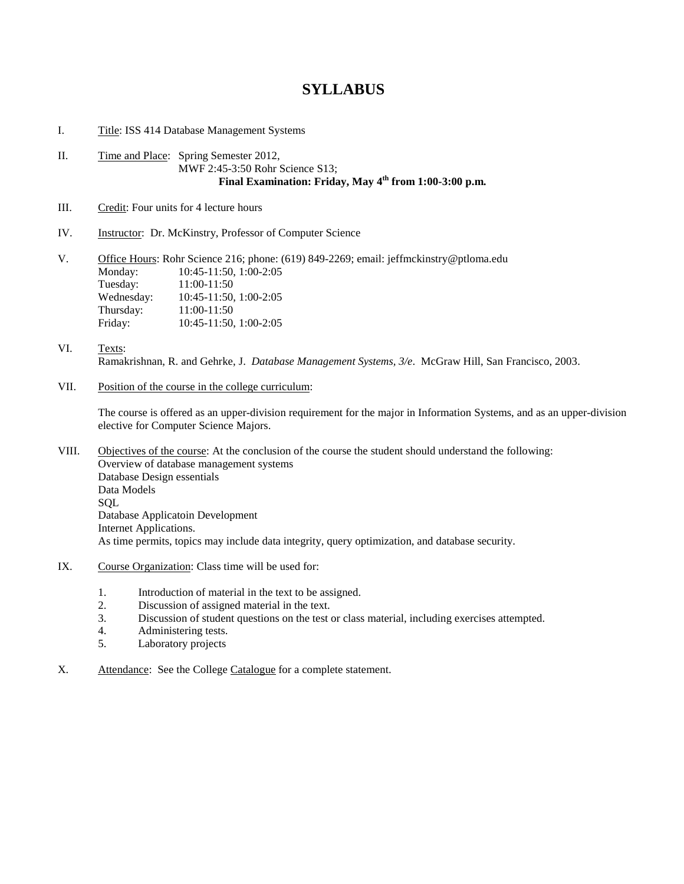## **SYLLABUS**

I. Title: ISS 414 Database Management Systems

- II. Time and Place: Spring Semester 2012, MWF 2:45-3:50 Rohr Science S13; **Final Examination: Friday, May 4th from 1:00-3:00 p.m.**
- III. Credit: Four units for 4 lecture hours
- IV. Instructor: Dr. McKinstry, Professor of Computer Science

V. Office Hours: Rohr Science 216; phone: (619) 849-2269; email: jeffmckinstry@ptloma.edu Monday: 10:45-11:50, 1:00-2:05 Tuesday: 11:00-11:50<br>Wednesday: 10:45-11:50, Wednesday: 10:45-11:50, 1:00-2:05 Thursday: 11:00-11:50 Friday: 10:45-11:50, 1:00-2:05

- VI. Texts: Ramakrishnan, R. and Gehrke, J. *Database Management Systems, 3/e*. McGraw Hill, San Francisco, 2003.
- VII. Position of the course in the college curriculum:

The course is offered as an upper-division requirement for the major in Information Systems, and as an upper-division elective for Computer Science Majors.

- VIII. Objectives of the course: At the conclusion of the course the student should understand the following: Overview of database management systems Database Design essentials Data Models **SOL** Database Applicatoin Development Internet Applications. As time permits, topics may include data integrity, query optimization, and database security.
- IX. Course Organization: Class time will be used for:
	- 1. Introduction of material in the text to be assigned.<br>2. Discussion of assigned material in the text
	- Discussion of assigned material in the text.
	- 3. Discussion of student questions on the test or class material, including exercises attempted.
	- 4. Administering tests.<br>5. Laboratory projects
	- Laboratory projects
- X. Attendance: See the College Catalogue for a complete statement.